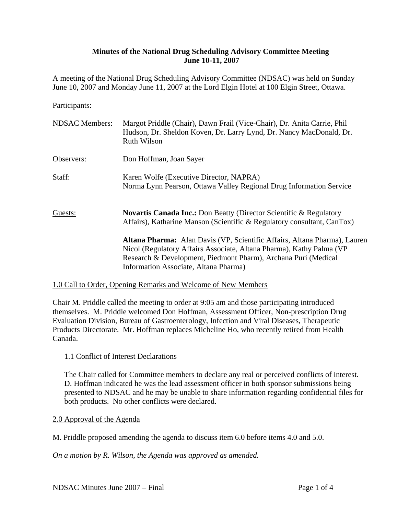### **Minutes of the National Drug Scheduling Advisory Committee Meeting June 10-11, 2007**

A meeting of the National Drug Scheduling Advisory Committee (NDSAC) was held on Sunday June 10, 2007 and Monday June 11, 2007 at the Lord Elgin Hotel at 100 Elgin Street, Ottawa.

#### Participants:

| <b>NDSAC</b> Members: | Margot Priddle (Chair), Dawn Frail (Vice-Chair), Dr. Anita Carrie, Phil<br>Hudson, Dr. Sheldon Koven, Dr. Larry Lynd, Dr. Nancy MacDonald, Dr.<br><b>Ruth Wilson</b>                                                                     |
|-----------------------|------------------------------------------------------------------------------------------------------------------------------------------------------------------------------------------------------------------------------------------|
| Observers:            | Don Hoffman, Joan Sayer                                                                                                                                                                                                                  |
| Staff:                | Karen Wolfe (Executive Director, NAPRA)<br>Norma Lynn Pearson, Ottawa Valley Regional Drug Information Service                                                                                                                           |
| Guests:               | <b>Novartis Canada Inc.:</b> Don Beatty (Director Scientific & Regulatory<br>Affairs), Katharine Manson (Scientific & Regulatory consultant, CanTox)<br><b>Altana Pharma:</b> Alan Davis (VP, Scientific Affairs, Altana Pharma), Lauren |
|                       | Nicol (Regulatory Affairs Associate, Altana Pharma), Kathy Palma (VP)<br>Research & Development, Piedmont Pharm), Archana Puri (Medical<br>Information Associate, Altana Pharma)                                                         |
|                       |                                                                                                                                                                                                                                          |

### 1.0 Call to Order, Opening Remarks and Welcome of New Members

Chair M. Priddle called the meeting to order at 9:05 am and those participating introduced themselves. M. Priddle welcomed Don Hoffman, Assessment Officer, Non-prescription Drug Evaluation Division, Bureau of Gastroenterology, Infection and Viral Diseases, Therapeutic Products Directorate. Mr. Hoffman replaces Micheline Ho, who recently retired from Health Canada.

#### 1.1 Conflict of Interest Declarations

The Chair called for Committee members to declare any real or perceived conflicts of interest. D. Hoffman indicated he was the lead assessment officer in both sponsor submissions being presented to NDSAC and he may be unable to share information regarding confidential files for both products. No other conflicts were declared.

#### 2.0 Approval of the Agenda

M. Priddle proposed amending the agenda to discuss item 6.0 before items 4.0 and 5.0.

*On a motion by R. Wilson, the Agenda was approved as amended.*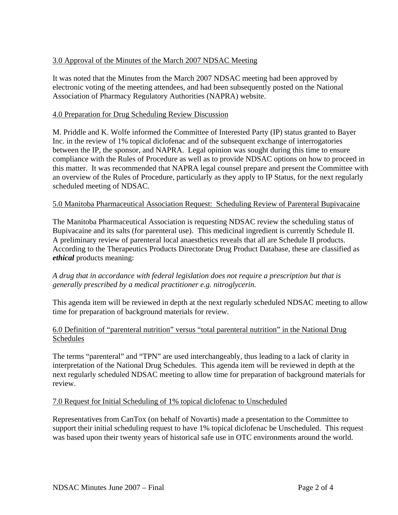# 3.0 Approval of the Minutes of the March 2007 NDSAC Meeting

It was noted that the Minutes from the March 2007 NDSAC meeting had been approved by electronic voting of the meeting attendees, and had been subsequently posted on the National Association of Pharmacy Regulatory Authorities (NAPRA) website.

### 4.0 Preparation for Drug Scheduling Review Discussion

M. Priddle and K. Wolfe informed the Committee of Interested Party (IP) status granted to Bayer Inc. in the review of 1% topical diclofenac and of the subsequent exchange of interrogatories between the IP, the sponsor, and NAPRA. Legal opinion was sought during this time to ensure compliance with the Rules of Procedure as well as to provide NDSAC options on how to proceed in this matter. It was recommended that NAPRA legal counsel prepare and present the Committee with an overview of the Rules of Procedure, particularly as they apply to IP Status, for the next regularly scheduled meeting of NDSAC.

#### 5.0 Manitoba Pharmaceutical Association Request: Scheduling Review of Parenteral Bupivacaine

The Manitoba Pharmaceutical Association is requesting NDSAC review the scheduling status of Bupivacaine and its salts (for parenteral use). This medicinal ingredient is currently Schedule II. A preliminary review of parenteral local anaesthetics reveals that all are Schedule II products. According to the Therapeutics Products Directorate Drug Product Database, these are classified as *ethical* products meaning:

### *A drug that in accordance with federal legislation does not require a prescription but that is generally prescribed by a medical practitioner e.g. nitroglycerin.*

This agenda item will be reviewed in depth at the next regularly scheduled NDSAC meeting to allow time for preparation of background materials for review.

### 6.0 Definition of "parenteral nutrition" versus "total parenteral nutrition" in the National Drug Schedules

The terms "parenteral" and "TPN" are used interchangeably, thus leading to a lack of clarity in interpretation of the National Drug Schedules. This agenda item will be reviewed in depth at the next regularly scheduled NDSAC meeting to allow time for preparation of background materials for review.

#### 7.0 Request for Initial Scheduling of 1% topical diclofenac to Unscheduled

Representatives from CanTox (on behalf of Novartis) made a presentation to the Committee to support their initial scheduling request to have 1% topical diclofenac be Unscheduled. This request was based upon their twenty years of historical safe use in OTC environments around the world.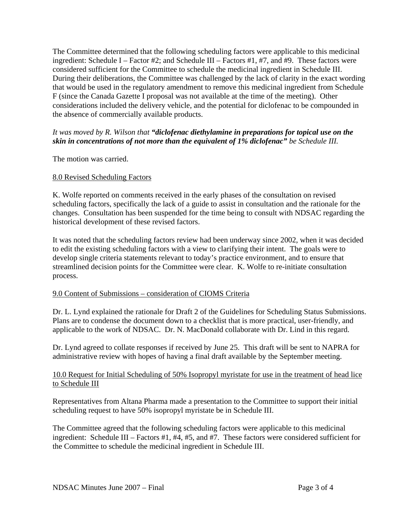The Committee determined that the following scheduling factors were applicable to this medicinal ingredient: Schedule I – Factor #2; and Schedule III – Factors #1, #7, and #9. These factors were considered sufficient for the Committee to schedule the medicinal ingredient in Schedule III. During their deliberations, the Committee was challenged by the lack of clarity in the exact wording that would be used in the regulatory amendment to remove this medicinal ingredient from Schedule F (since the Canada Gazette I proposal was not available at the time of the meeting). Other considerations included the delivery vehicle, and the potential for diclofenac to be compounded in the absence of commercially available products.

## *It was moved by R. Wilson that "diclofenac diethylamine in preparations for topical use on the skin in concentrations of not more than the equivalent of 1% diclofenac" be Schedule III.*

The motion was carried.

# 8.0 Revised Scheduling Factors

K. Wolfe reported on comments received in the early phases of the consultation on revised scheduling factors, specifically the lack of a guide to assist in consultation and the rationale for the changes. Consultation has been suspended for the time being to consult with NDSAC regarding the historical development of these revised factors.

It was noted that the scheduling factors review had been underway since 2002, when it was decided to edit the existing scheduling factors with a view to clarifying their intent. The goals were to develop single criteria statements relevant to today's practice environment, and to ensure that streamlined decision points for the Committee were clear. K. Wolfe to re-initiate consultation process.

## 9.0 Content of Submissions – consideration of CIOMS Criteria

Dr. L. Lynd explained the rationale for Draft 2 of the Guidelines for Scheduling Status Submissions. Plans are to condense the document down to a checklist that is more practical, user-friendly, and applicable to the work of NDSAC. Dr. N. MacDonald collaborate with Dr. Lind in this regard.

Dr. Lynd agreed to collate responses if received by June 25. This draft will be sent to NAPRA for administrative review with hopes of having a final draft available by the September meeting.

## 10.0 Request for Initial Scheduling of 50% Isopropyl myristate for use in the treatment of head lice to Schedule III

Representatives from Altana Pharma made a presentation to the Committee to support their initial scheduling request to have 50% isopropyl myristate be in Schedule III.

The Committee agreed that the following scheduling factors were applicable to this medicinal ingredient: Schedule III – Factors #1, #4, #5, and #7. These factors were considered sufficient for the Committee to schedule the medicinal ingredient in Schedule III.